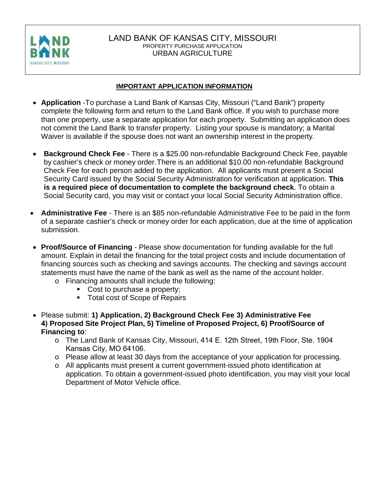

#### LAND BANK OF KANSAS CITY, MISSOURI PROPERTY PURCHASE APPLICATION URBAN AGRICULTURE

#### **IMPORTANT APPLICATION INFORMATION**

- **Application** -To purchase a Land Bank of Kansas City, Missouri ("Land Bank") property complete the following form and return to the Land Bank office. If you wish to purchase more than one property, use a separate application for each property. Submitting an application does not commit the Land Bank to transfer property. Listing your spouse is mandatory; a Marital Waiver is available if the spouse does not want an ownership interest in the property.
- **Background Check Fee**  There is a \$25.00 non-refundable Background Check Fee, payable by cashier's check or money order. There is an additional \$10.00 non-refundable Background Check Fee for each person added to the application. All applicants must present a Social Security Card issued by the Social Security Administration for verification at application. **This is a required piece of documentation to complete the background check**. To obtain a Social Security card, you may visit or contact your local Social Security Administration office.
- **Administrative Fee**  There is an \$85 non-refundable Administrative Fee to be paid in the form of a separate cashier's check or money order for each application, due at the time of application submission.
- **Proof/Source of Financing**  Please show documentation for funding available for the full amount. Explain in detail the financing for the total project costs and include documentation of financing sources such as checking and savings accounts. The checking and savings account statements must have the name of the bank as well as the name of the account holder.
	- o Financing amounts shall include the following:
		- Cost to purchase a property;
		- **Total cost of Scope of Repairs**
- Please submit: **1) Application, 2) Background Check Fee 3) Administrative Fee 4) Proposed Site Project Plan, 5) Timeline of Proposed Project, 6) Proof/Source of Financing to**:
	- o The Land Bank of Kansas City, Missouri, 414 E. 12th Street, 19th Floor, Ste. 1904 Kansas City, MO 64106.
	- o Please allow at least 30 days from the acceptance of your application for processing.
	- o All applicants must present a current government-issued photo identification at application. To obtain a government-issued photo identification, you may visit your local Department of Motor Vehicle office.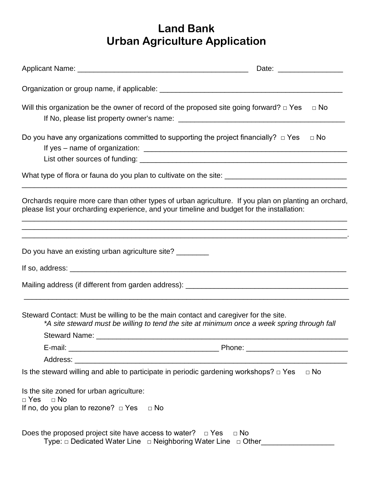# **Land Bank Urban Agriculture Application**

| Will this organization be the owner of record of the proposed site going forward? $\Box$ Yes                                                                                                                                                                                              | $\Box$ No                                                                                   |
|-------------------------------------------------------------------------------------------------------------------------------------------------------------------------------------------------------------------------------------------------------------------------------------------|---------------------------------------------------------------------------------------------|
| Do you have any organizations committed to supporting the project financially? $\Box$ Yes                                                                                                                                                                                                 | $\Box$ No                                                                                   |
|                                                                                                                                                                                                                                                                                           |                                                                                             |
| Orchards require more care than other types of urban agriculture. If you plan on planting an orchard,<br>please list your orcharding experience, and your timeline and budget for the installation:<br>,一个人的人都是一个人的人,我们就是一个人的人,我们就是一个人的人,我们就是一个人的人,我们就是一个人的人,我们就是一个人的人,我们就是一个人的人,我们就是一个人  |                                                                                             |
| Do you have an existing urban agriculture site? ________                                                                                                                                                                                                                                  |                                                                                             |
| If so, address: $\frac{1}{2}$ and $\frac{1}{2}$ and $\frac{1}{2}$ and $\frac{1}{2}$ and $\frac{1}{2}$ and $\frac{1}{2}$ and $\frac{1}{2}$ and $\frac{1}{2}$ and $\frac{1}{2}$ and $\frac{1}{2}$ and $\frac{1}{2}$ and $\frac{1}{2}$ and $\frac{1}{2}$ and $\frac{1}{2}$ and $\frac{1}{2}$ |                                                                                             |
|                                                                                                                                                                                                                                                                                           |                                                                                             |
| Steward Contact: Must be willing to be the main contact and caregiver for the site.                                                                                                                                                                                                       | *A site steward must be willing to tend the site at minimum once a week spring through fall |
|                                                                                                                                                                                                                                                                                           |                                                                                             |
|                                                                                                                                                                                                                                                                                           |                                                                                             |
| Is the steward willing and able to participate in periodic gardening workshops? $\Box$ Yes                                                                                                                                                                                                | $\Box$ No                                                                                   |
| Is the site zoned for urban agriculture:<br>$\Box$ No<br>$\Box$ Yes<br>If no, do you plan to rezone? $\Box$ Yes<br>⊟ No                                                                                                                                                                   |                                                                                             |
| Does the proposed project site have access to water? $\Box$ Yes<br>Type: □ Dedicated Water Line □ Neighboring Water Line □ Other_                                                                                                                                                         | $\Box$ No                                                                                   |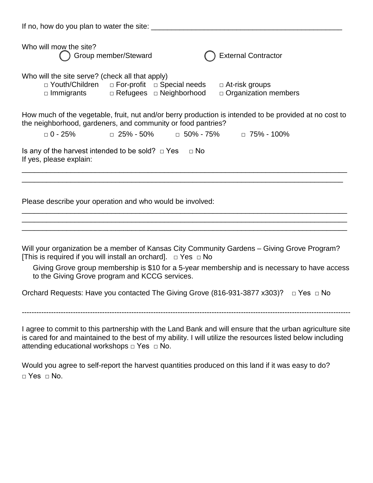If no, how do you plan to water the site: \_\_\_\_\_\_\_\_\_\_\_\_\_\_\_\_\_\_\_\_\_\_\_\_\_\_\_\_\_\_\_\_\_\_\_\_\_\_\_\_\_\_\_\_\_\_\_ Who will mow the site? Group member/Steward **Contractor Contractor Contractor** Who will the site serve? (check all that apply) □ Youth/Children □ For-profit □ Special needs □ At-risk groups □ Immigrants □ Refugees □ Neighborhood □ Organization members How much of the vegetable, fruit, nut and/or berry production is intended to be provided at no cost to the neighborhood, gardeners, and community or food pantries? □ 0 - 25% □ 25% - 50% □ 50% - 75% □ 75% - 100% Is any of the harvest intended to be sold?  $\Box$  Yes  $\Box$  No If yes, please explain: \_\_\_\_\_\_\_\_\_\_\_\_\_\_\_\_\_\_\_\_\_\_\_\_\_\_\_\_\_\_\_\_\_\_\_\_\_\_\_\_\_\_\_\_\_\_\_\_\_\_\_\_\_\_\_\_\_\_\_\_\_\_\_\_\_\_\_\_\_\_\_\_\_\_\_\_\_\_\_\_ \_\_\_\_\_\_\_\_\_\_\_\_\_\_\_\_\_\_\_\_\_\_\_\_\_\_\_\_\_\_\_\_\_\_\_\_\_\_\_\_\_\_\_\_\_\_\_\_\_\_\_\_\_\_\_\_\_\_\_\_\_\_\_\_\_\_\_\_\_\_\_\_\_\_\_\_\_\_\_ Please describe your operation and who would be involved: \_\_\_\_\_\_\_\_\_\_\_\_\_\_\_\_\_\_\_\_\_\_\_\_\_\_\_\_\_\_\_\_\_\_\_\_\_\_\_\_\_\_\_\_\_\_\_\_\_\_\_\_\_\_\_\_\_\_\_\_\_\_\_\_\_\_\_\_\_\_\_\_\_\_\_\_\_\_\_\_ \_\_\_\_\_\_\_\_\_\_\_\_\_\_\_\_\_\_\_\_\_\_\_\_\_\_\_\_\_\_\_\_\_\_\_\_\_\_\_\_\_\_\_\_\_\_\_\_\_\_\_\_\_\_\_\_\_\_\_\_\_\_\_\_\_\_\_\_\_\_\_\_\_\_\_\_\_\_\_\_ \_\_\_\_\_\_\_\_\_\_\_\_\_\_\_\_\_\_\_\_\_\_\_\_\_\_\_\_\_\_\_\_\_\_\_\_\_\_\_\_\_\_\_\_\_\_\_\_\_\_\_\_\_\_\_\_\_\_\_\_\_\_\_\_\_\_\_\_\_\_\_\_\_\_\_\_\_\_\_\_

Will your organization be a member of Kansas City Community Gardens – Giving Grove Program? [This is required if you will install an orchard].  $\Box$  Yes  $\Box$  No

Giving Grove group membership is \$10 for a 5-year membership and is necessary to have access to the Giving Grove program and KCCG services.

Orchard Requests: Have you contacted The Giving Grove (816-931-3877 x303)? □ Yes □ No

---------------------------------------------------------------------------------------------------------------------------------------

I agree to commit to this partnership with the Land Bank and will ensure that the urban agriculture site is cared for and maintained to the best of my ability. I will utilize the resources listed below including attending educational workshops □ Yes □ No.

Would you agree to self-report the harvest quantities produced on this land if it was easy to do? □ Yes □ No.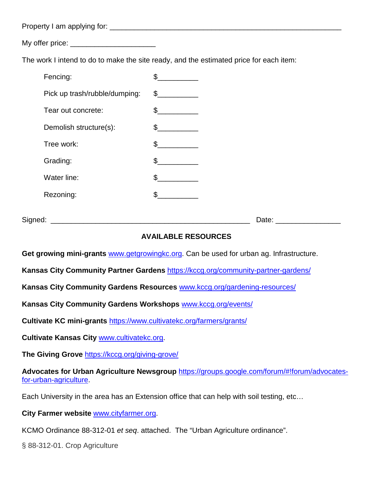Property I am applying for: \_\_\_\_\_\_\_\_\_\_\_\_\_\_\_\_\_\_\_\_\_\_\_\_\_\_\_\_\_\_\_\_\_\_\_\_\_\_\_\_\_\_\_\_\_\_\_\_\_\_\_\_\_\_\_\_\_

 $Mv$  offer price:  $\blacksquare$ 

The work I intend to do to make the site ready, and the estimated price for each item:

| Fencing:                      | \$             |
|-------------------------------|----------------|
| Pick up trash/rubble/dumping: | $\frac{1}{2}$  |
| Tear out concrete:            | $\mathfrak{L}$ |
| Demolish structure(s):        | \$             |
| Tree work:                    | \$             |
| Grading:                      | \$             |
| Water line:                   | \$             |
| Rezoning:                     | \$             |
|                               |                |

Signed: \_\_\_\_\_\_\_\_\_\_\_\_\_\_\_\_\_\_\_\_\_\_\_\_\_\_\_\_\_\_\_\_\_\_\_\_\_\_\_\_\_\_\_\_\_\_\_\_\_ Date: \_\_\_\_\_\_\_\_\_\_\_\_\_\_\_\_

## **AVAILABLE RESOURCES**

**Get growing mini-grants** [www.getgrowingkc.org.](http://www.getgrowingkc.org/) Can be used for urban ag. Infrastructure.

**Kansas City Community Partner Gardens** <https://kccg.org/community-partner-gardens/>

**Kansas City Community Gardens Resources** [www.kccg.org/gardening-resources/](http://www.kccg.org/gardening-resources/)

**Kansas City Community Gardens Workshops** [www.kccg.org/events/](http://www.kccg.org/events/)

**Cultivate KC mini-grants** <https://www.cultivatekc.org/farmers/grants/>

**Cultivate Kansas City** [www.cultivatekc.org.](http://www.cultivatekc.org/)

**The Giving Grove** https://kccg.org/giving-grove/

**Advocates for Urban Agriculture Newsgroup** [https://groups.google.com/forum/#!forum/advocates](https://groups.google.com/forum/#!forum/advocates-for-urban-agriculture)[for-urban-agriculture.](https://groups.google.com/forum/#!forum/advocates-for-urban-agriculture)

Each University in the area has an Extension office that can help with soil testing, etc…

**City Farmer website** [www.cityfarmer.org.](http://www.cityfarmer.org/)

KCMO Ordinance 88-312-01 *et seq*. attached. The "Urban Agriculture ordinance".

§ 88-312-01. Crop Agriculture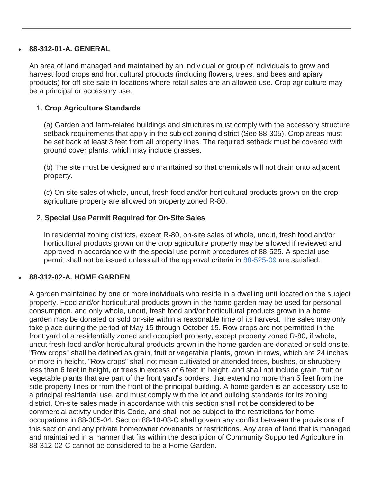#### • **88-312-01-A. GENERAL**

An area of land managed and maintained by an individual or group of individuals to grow and harvest food crops and horticultural products (including flowers, trees, and bees and apiary products) for off-site sale in locations where retail sales are an allowed use. Crop agriculture may be a principal or accessory use.

#### 1. **Crop Agriculture Standards**

(a) Garden and farm-related buildings and structures must comply with the accessory structure setback requirements that apply in the subject zoning district (See 88-305). Crop areas must be set back at least 3 feet from all property lines. The required setback must be covered with ground cover plants, which may include grasses.

(b) The site must be designed and maintained so that chemicals will not drain onto adjacent property.

(c) On-site sales of whole, uncut, fresh food and/or horticultural products grown on the crop agriculture property are allowed on property zoned R-80.

#### 2. **Special Use Permit Required for On-Site Sales**

In residential zoning districts, except R-80, on-site sales of whole, uncut, fresh food and/or horticultural products grown on the crop agriculture property may be allowed if reviewed and approved in accordance with the special use permit procedures of 88-525. A special use permit shall not be issued unless all of the approval criteria in [88-525-09](http://kansascity-mo.elaws.us/rule/cid10156/88-525-09) are satisfied.

#### • **88-312-02-A. HOME GARDEN**

A garden maintained by one or more individuals who reside in a dwelling unit located on the subject property. Food and/or horticultural products grown in the home garden may be used for personal consumption, and only whole, uncut, fresh food and/or horticultural products grown in a home garden may be donated or sold on-site within a reasonable time of its harvest. The sales may only take place during the period of May 15 through October 15. Row crops are not permitted in the front yard of a residentially zoned and occupied property, except property zoned R-80, if whole, uncut fresh food and/or horticultural products grown in the home garden are donated or sold onsite. "Row crops" shall be defined as grain, fruit or vegetable plants, grown in rows, which are 24 inches or more in height. "Row crops" shall not mean cultivated or attended trees, bushes, or shrubbery less than 6 feet in height, or trees in excess of 6 feet in height, and shall not include grain, fruit or vegetable plants that are part of the front yard's borders, that extend no more than 5 feet from the side property lines or from the front of the principal building. A home garden is an accessory use to a principal residential use, and must comply with the lot and building standards for its zoning district. On-site sales made in accordance with this section shall not be considered to be commercial activity under this Code, and shall not be subject to the restrictions for home occupations in 88-305-04. Section 88-10-08-C shall govern any conflict between the provisions of this section and any private homeowner covenants or restrictions. Any area of land that is managed and maintained in a manner that fits within the description of Community Supported Agriculture in 88-312-02-C cannot be considered to be a Home Garden.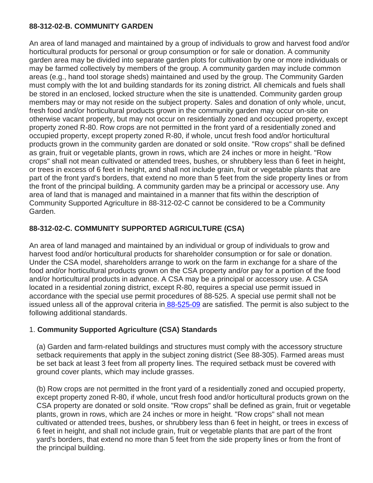#### **88-312-02-B. COMMUNITY GARDEN**

An area of land managed and maintained by a group of individuals to grow and harvest food and/or horticultural products for personal or group consumption or for sale or donation. A community garden area may be divided into separate garden plots for cultivation by one or more individuals or may be farmed collectively by members of the group. A community garden may include common areas (e.g., hand tool storage sheds) maintained and used by the group. The Community Garden must comply with the lot and building standards for its zoning district. All chemicals and fuels shall be stored in an enclosed, locked structure when the site is unattended. Community garden group members may or may not reside on the subject property. Sales and donation of only whole, uncut, fresh food and/or horticultural products grown in the community garden may occur on-site on otherwise vacant property, but may not occur on residentially zoned and occupied property, except property zoned R-80. Row crops are not permitted in the front yard of a residentially zoned and occupied property, except property zoned R-80, if whole, uncut fresh food and/or horticultural products grown in the community garden are donated or sold onsite. "Row crops" shall be defined as grain, fruit or vegetable plants, grown in rows, which are 24 inches or more in height. "Row crops" shall not mean cultivated or attended trees, bushes, or shrubbery less than 6 feet in height, or trees in excess of 6 feet in height, and shall not include grain, fruit or vegetable plants that are part of the front yard's borders, that extend no more than 5 feet from the side property lines or from the front of the principal building. A community garden may be a principal or accessory use. Any area of land that is managed and maintained in a manner that fits within the description of Community Supported Agriculture in 88-312-02-C cannot be considered to be a Community Garden.

# **88-312-02-C. COMMUNITY SUPPORTED AGRICULTURE (CSA)**

An area of land managed and maintained by an individual or group of individuals to grow and harvest food and/or horticultural products for shareholder consumption or for sale or donation. Under the CSA model, shareholders arrange to work on the farm in exchange for a share of the food and/or horticultural products grown on the CSA property and/or pay for a portion of the food and/or horticultural products in advance. A CSA may be a principal or accessory use. A CSA located in a residential zoning district, except R-80, requires a special use permit issued in accordance with the special use permit procedures of 88-525. A special use permit shall not be issued unless all of the approval criteria in [88-525-09](http://kansascity-mo.elaws.us/rule/cid10156/88-525-09) are satisfied. The permit is also subject to the following additional standards.

## 1. **Community Supported Agriculture (CSA) Standards**

(a) Garden and farm-related buildings and structures must comply with the accessory structure setback requirements that apply in the subject zoning district (See 88-305). Farmed areas must be set back at least 3 feet from all property lines. The required setback must be covered with ground cover plants, which may include grasses.

(b) Row crops are not permitted in the front yard of a residentially zoned and occupied property, except property zoned R-80, if whole, uncut fresh food and/or horticultural products grown on the CSA property are donated or sold onsite. "Row crops" shall be defined as grain, fruit or vegetable plants, grown in rows, which are 24 inches or more in height. "Row crops" shall not mean cultivated or attended trees, bushes, or shrubbery less than 6 feet in height, or trees in excess of 6 feet in height, and shall not include grain, fruit or vegetable plants that are part of the front yard's borders, that extend no more than 5 feet from the side property lines or from the front of the principal building.